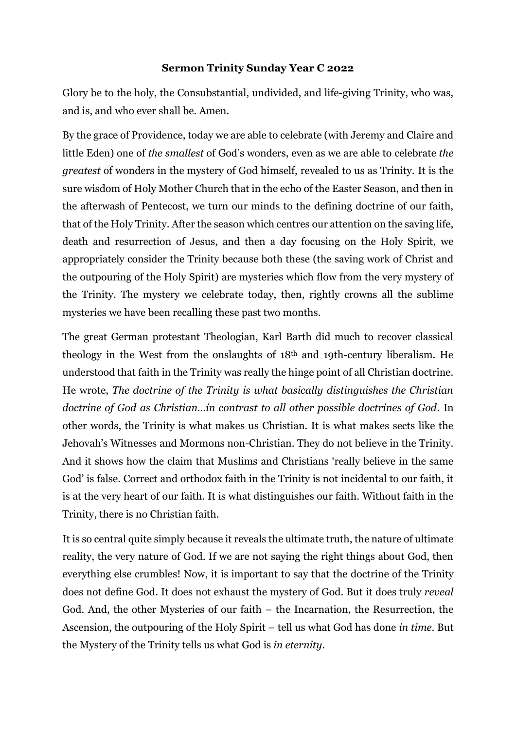## **Sermon Trinity Sunday Year C 2022**

Glory be to the holy, the Consubstantial, undivided, and life-giving Trinity, who was, and is, and who ever shall be. Amen.

By the grace of Providence, today we are able to celebrate (with Jeremy and Claire and little Eden) one of *the smallest* of God's wonders, even as we are able to celebrate *the greatest* of wonders in the mystery of God himself, revealed to us as Trinity. It is the sure wisdom of Holy Mother Church that in the echo of the Easter Season, and then in the afterwash of Pentecost, we turn our minds to the defining doctrine of our faith, that of the Holy Trinity. After the season which centres our attention on the saving life, death and resurrection of Jesus, and then a day focusing on the Holy Spirit, we appropriately consider the Trinity because both these (the saving work of Christ and the outpouring of the Holy Spirit) are mysteries which flow from the very mystery of the Trinity. The mystery we celebrate today, then, rightly crowns all the sublime mysteries we have been recalling these past two months.

The great German protestant Theologian, Karl Barth did much to recover classical theology in the West from the onslaughts of 18th and 19th-century liberalism. He understood that faith in the Trinity was really the hinge point of all Christian doctrine. He wrote, *The doctrine of the Trinity is what basically distinguishes the Christian doctrine of God as Christian…in contrast to all other possible doctrines of God.* In other words, the Trinity is what makes us Christian. It is what makes sects like the Jehovah's Witnesses and Mormons non-Christian. They do not believe in the Trinity. And it shows how the claim that Muslims and Christians 'really believe in the same God' is false. Correct and orthodox faith in the Trinity is not incidental to our faith, it is at the very heart of our faith. It is what distinguishes our faith. Without faith in the Trinity, there is no Christian faith.

It is so central quite simply because it reveals the ultimate truth, the nature of ultimate reality, the very nature of God. If we are not saying the right things about God, then everything else crumbles! Now, it is important to say that the doctrine of the Trinity does not define God. It does not exhaust the mystery of God. But it does truly *reveal* God. And, the other Mysteries of our faith – the Incarnation, the Resurrection, the Ascension, the outpouring of the Holy Spirit – tell us what God has done *in time*. But the Mystery of the Trinity tells us what God is *in eternity*.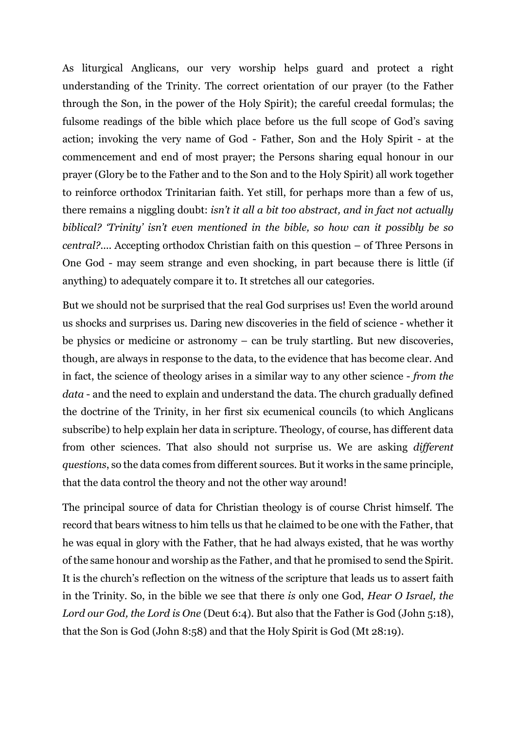As liturgical Anglicans, our very worship helps guard and protect a right understanding of the Trinity. The correct orientation of our prayer (to the Father through the Son, in the power of the Holy Spirit); the careful creedal formulas; the fulsome readings of the bible which place before us the full scope of God's saving action; invoking the very name of God - Father, Son and the Holy Spirit - at the commencement and end of most prayer; the Persons sharing equal honour in our prayer (Glory be to the Father and to the Son and to the Holy Spirit) all work together to reinforce orthodox Trinitarian faith. Yet still, for perhaps more than a few of us, there remains a niggling doubt: *isn't it all a bit too abstract, and in fact not actually biblical? 'Trinity' isn't even mentioned in the bible, so how can it possibly be so central?....* Accepting orthodox Christian faith on this question – of Three Persons in One God - may seem strange and even shocking, in part because there is little (if anything) to adequately compare it to. It stretches all our categories.

But we should not be surprised that the real God surprises us! Even the world around us shocks and surprises us. Daring new discoveries in the field of science - whether it be physics or medicine or astronomy – can be truly startling. But new discoveries, though, are always in response to the data, to the evidence that has become clear. And in fact, the science of theology arises in a similar way to any other science - *from the data* - and the need to explain and understand the data. The church gradually defined the doctrine of the Trinity, in her first six ecumenical councils (to which Anglicans subscribe) to help explain her data in scripture. Theology, of course, has different data from other sciences. That also should not surprise us. We are asking *different questions*, so the data comes from different sources. But it works in the same principle, that the data control the theory and not the other way around!

The principal source of data for Christian theology is of course Christ himself. The record that bears witness to him tells us that he claimed to be one with the Father, that he was equal in glory with the Father, that he had always existed, that he was worthy of the same honour and worship as the Father, and that he promised to send the Spirit. It is the church's reflection on the witness of the scripture that leads us to assert faith in the Trinity. So, in the bible we see that there *is* only one God, *Hear O Israel, the Lord our God, the Lord is One* (Deut 6:4). But also that the Father is God (John 5:18), that the Son is God (John 8:58) and that the Holy Spirit is God (Mt 28:19).